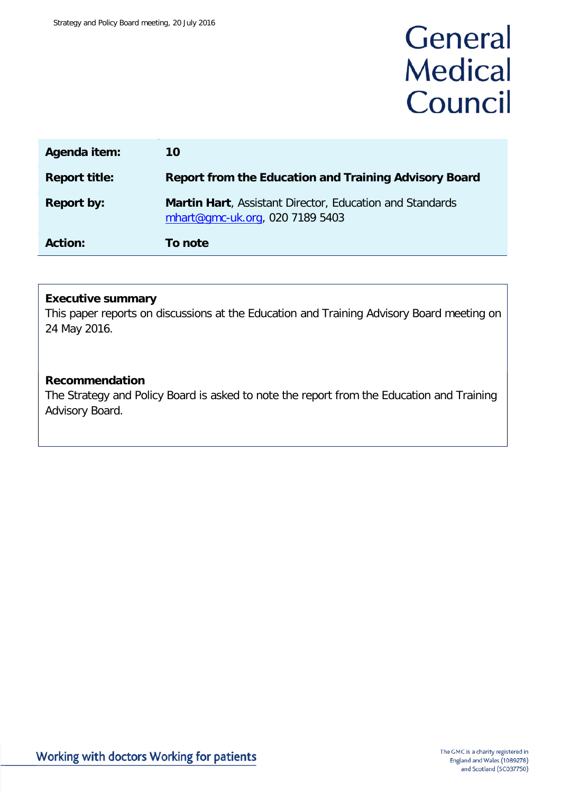# General **Medical** Council

| Agenda item:         | 10                                                                                          |
|----------------------|---------------------------------------------------------------------------------------------|
| <b>Report title:</b> | <b>Report from the Education and Training Advisory Board</b>                                |
| <b>Report by:</b>    | Martin Hart, Assistant Director, Education and Standards<br>mhart@gmc-uk.org, 020 7189 5403 |
| <b>Action:</b>       | To note                                                                                     |

# **Executive summary**

This paper reports on discussions at the Education and Training Advisory Board meeting on 24 May 2016.

## **Recommendation**

The Strategy and Policy Board is asked to note the report from the Education and Training Advisory Board.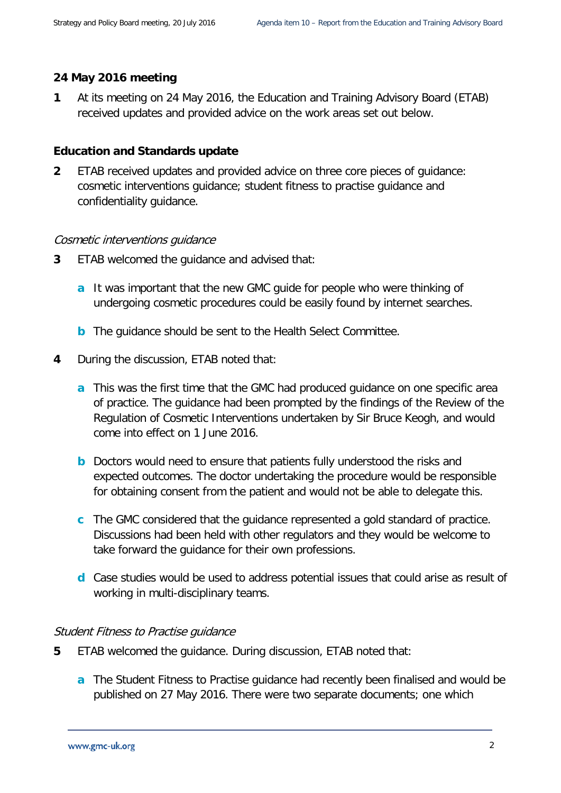## **24 May 2016 meeting**

**1** At its meeting on 24 May 2016, the Education and Training Advisory Board (ETAB) received updates and provided advice on the work areas set out below.

### **Education and Standards update**

**2** ETAB received updates and provided advice on three core pieces of guidance: cosmetic interventions guidance; student fitness to practise guidance and confidentiality guidance.

#### Cosmetic interventions guidance

- **3** ETAB welcomed the guidance and advised that:
	- **a** It was important that the new GMC guide for people who were thinking of undergoing cosmetic procedures could be easily found by internet searches.
	- **b** The guidance should be sent to the Health Select Committee.
- **4** During the discussion, ETAB noted that:
	- **a** This was the first time that the GMC had produced guidance on one specific area of practice. The guidance had been prompted by the findings of the Review of the Regulation of Cosmetic Interventions undertaken by Sir Bruce Keogh, and would come into effect on 1 June 2016.
	- **b** Doctors would need to ensure that patients fully understood the risks and expected outcomes. The doctor undertaking the procedure would be responsible for obtaining consent from the patient and would not be able to delegate this.
	- **c** The GMC considered that the guidance represented a gold standard of practice. Discussions had been held with other regulators and they would be welcome to take forward the guidance for their own professions.
	- **d** Case studies would be used to address potential issues that could arise as result of working in multi-disciplinary teams.

#### Student Fitness to Practise guidance

- **5** ETAB welcomed the guidance. During discussion, ETAB noted that:
	- **a** The Student Fitness to Practise guidance had recently been finalised and would be published on 27 May 2016. There were two separate documents; one which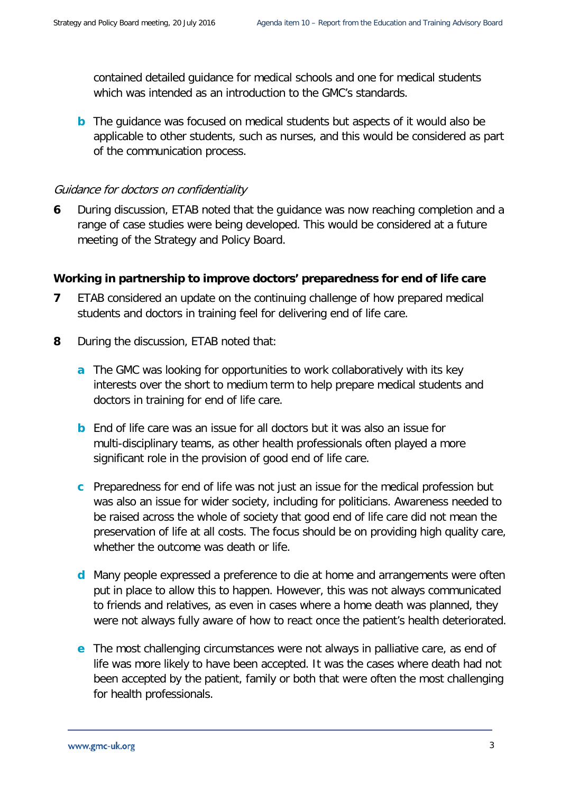contained detailed guidance for medical schools and one for medical students which was intended as an introduction to the GMC's standards.

**b** The guidance was focused on medical students but aspects of it would also be applicable to other students, such as nurses, and this would be considered as part of the communication process.

## Guidance for doctors on confidentiality

**6** During discussion, ETAB noted that the guidance was now reaching completion and a range of case studies were being developed. This would be considered at a future meeting of the Strategy and Policy Board.

# **Working in partnership to improve doctors' preparedness for end of life care**

- **7** ETAB considered an update on the continuing challenge of how prepared medical students and doctors in training feel for delivering end of life care.
- **8** During the discussion, ETAB noted that:
	- **a** The GMC was looking for opportunities to work collaboratively with its key interests over the short to medium term to help prepare medical students and doctors in training for end of life care.
	- **b** End of life care was an issue for all doctors but it was also an issue for multi-disciplinary teams, as other health professionals often played a more significant role in the provision of good end of life care.
	- **c** Preparedness for end of life was not just an issue for the medical profession but was also an issue for wider society, including for politicians. Awareness needed to be raised across the whole of society that good end of life care did not mean the preservation of life at all costs. The focus should be on providing high quality care, whether the outcome was death or life.
	- **d** Many people expressed a preference to die at home and arrangements were often put in place to allow this to happen. However, this was not always communicated to friends and relatives, as even in cases where a home death was planned, they were not always fully aware of how to react once the patient's health deteriorated.
	- **e** The most challenging circumstances were not always in palliative care, as end of life was more likely to have been accepted. It was the cases where death had not been accepted by the patient, family or both that were often the most challenging for health professionals.